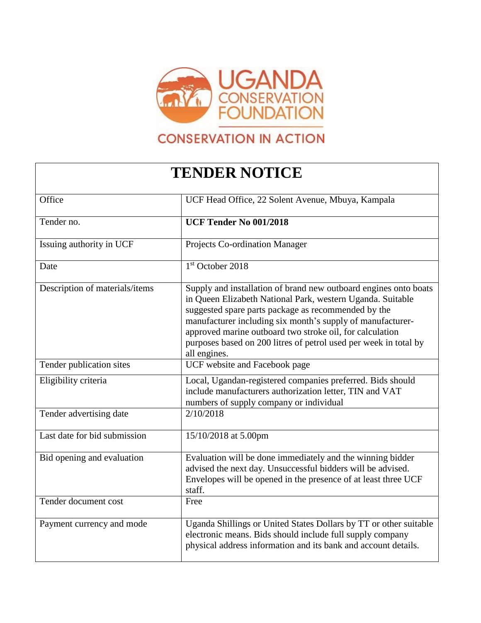

## **CONSERVATION IN ACTION**

## **TENDER NOTICE**

| Office                         | UCF Head Office, 22 Solent Avenue, Mbuya, Kampala                                                                                                                                                                                                                                                                                                                                                   |
|--------------------------------|-----------------------------------------------------------------------------------------------------------------------------------------------------------------------------------------------------------------------------------------------------------------------------------------------------------------------------------------------------------------------------------------------------|
| Tender no.                     | <b>UCF Tender No 001/2018</b>                                                                                                                                                                                                                                                                                                                                                                       |
| Issuing authority in UCF       | Projects Co-ordination Manager                                                                                                                                                                                                                                                                                                                                                                      |
| Date                           | $1st$ October 2018                                                                                                                                                                                                                                                                                                                                                                                  |
| Description of materials/items | Supply and installation of brand new outboard engines onto boats<br>in Queen Elizabeth National Park, western Uganda. Suitable<br>suggested spare parts package as recommended by the<br>manufacturer including six month's supply of manufacturer-<br>approved marine outboard two stroke oil, for calculation<br>purposes based on 200 litres of petrol used per week in total by<br>all engines. |
| Tender publication sites       | UCF website and Facebook page                                                                                                                                                                                                                                                                                                                                                                       |
| Eligibility criteria           | Local, Ugandan-registered companies preferred. Bids should<br>include manufacturers authorization letter, TIN and VAT<br>numbers of supply company or individual                                                                                                                                                                                                                                    |
| Tender advertising date        | 2/10/2018                                                                                                                                                                                                                                                                                                                                                                                           |
| Last date for bid submission   | 15/10/2018 at 5.00pm                                                                                                                                                                                                                                                                                                                                                                                |
| Bid opening and evaluation     | Evaluation will be done immediately and the winning bidder<br>advised the next day. Unsuccessful bidders will be advised.<br>Envelopes will be opened in the presence of at least three UCF<br>staff.                                                                                                                                                                                               |
| Tender document cost           | Free                                                                                                                                                                                                                                                                                                                                                                                                |
| Payment currency and mode      | Uganda Shillings or United States Dollars by TT or other suitable<br>electronic means. Bids should include full supply company<br>physical address information and its bank and account details.                                                                                                                                                                                                    |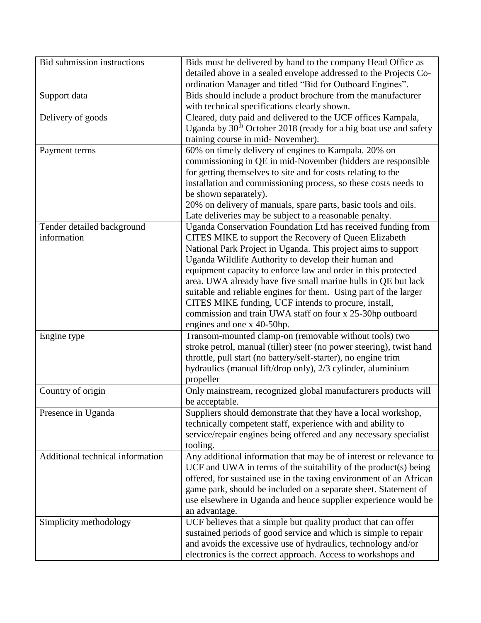| Bid submission instructions      | Bids must be delivered by hand to the company Head Office as                 |
|----------------------------------|------------------------------------------------------------------------------|
|                                  | detailed above in a sealed envelope addressed to the Projects Co-            |
|                                  | ordination Manager and titled "Bid for Outboard Engines".                    |
| Support data                     | Bids should include a product brochure from the manufacturer                 |
|                                  | with technical specifications clearly shown.                                 |
| Delivery of goods                | Cleared, duty paid and delivered to the UCF offices Kampala,                 |
|                                  | Uganda by 30 <sup>th</sup> October 2018 (ready for a big boat use and safety |
|                                  | training course in mid- November).                                           |
| Payment terms                    | 60% on timely delivery of engines to Kampala. 20% on                         |
|                                  | commissioning in QE in mid-November (bidders are responsible                 |
|                                  | for getting themselves to site and for costs relating to the                 |
|                                  | installation and commissioning process, so these costs needs to              |
|                                  | be shown separately).                                                        |
|                                  | 20% on delivery of manuals, spare parts, basic tools and oils.               |
|                                  | Late deliveries may be subject to a reasonable penalty.                      |
| Tender detailed background       | Uganda Conservation Foundation Ltd has received funding from                 |
| information                      | CITES MIKE to support the Recovery of Queen Elizabeth                        |
|                                  | National Park Project in Uganda. This project aims to support                |
|                                  | Uganda Wildlife Authority to develop their human and                         |
|                                  | equipment capacity to enforce law and order in this protected                |
|                                  | area. UWA already have five small marine hulls in QE but lack                |
|                                  | suitable and reliable engines for them. Using part of the larger             |
|                                  | CITES MIKE funding, UCF intends to procure, install,                         |
|                                  | commission and train UWA staff on four x 25-30hp outboard                    |
|                                  | engines and one x 40-50hp.                                                   |
| Engine type                      | Transom-mounted clamp-on (removable without tools) two                       |
|                                  | stroke petrol, manual (tiller) steer (no power steering), twist hand         |
|                                  | throttle, pull start (no battery/self-starter), no engine trim               |
|                                  | hydraulics (manual lift/drop only), 2/3 cylinder, aluminium                  |
|                                  | propeller                                                                    |
| Country of origin                | Only mainstream, recognized global manufacturers products will               |
|                                  | be acceptable.                                                               |
| Presence in Uganda               | Suppliers should demonstrate that they have a local workshop,                |
|                                  | technically competent staff, experience with and ability to                  |
|                                  | service/repair engines being offered and any necessary specialist            |
|                                  | tooling.                                                                     |
| Additional technical information | Any additional information that may be of interest or relevance to           |
|                                  | UCF and UWA in terms of the suitability of the product(s) being              |
|                                  | offered, for sustained use in the taxing environment of an African           |
|                                  | game park, should be included on a separate sheet. Statement of              |
|                                  | use elsewhere in Uganda and hence supplier experience would be               |
|                                  | an advantage.                                                                |
| Simplicity methodology           | UCF believes that a simple but quality product that can offer                |
|                                  | sustained periods of good service and which is simple to repair              |
|                                  | and avoids the excessive use of hydraulics, technology and/or                |
|                                  | electronics is the correct approach. Access to workshops and                 |